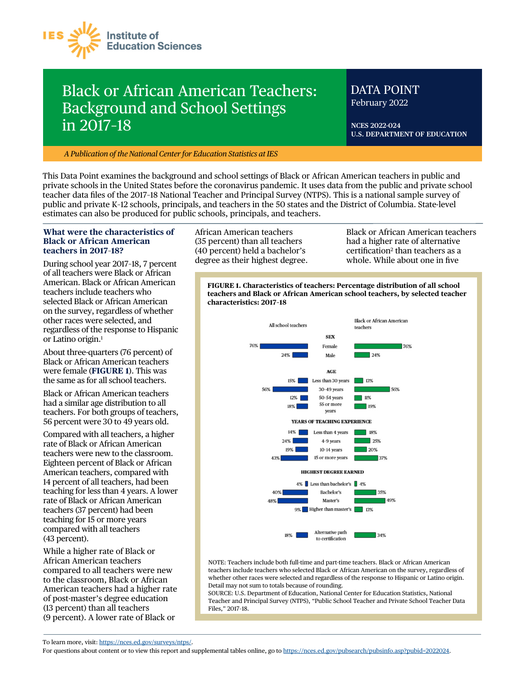

# Black or African American Teachers: Background and School Settings in 2017–18

# DATA POINT February 2022

**NCES 2022-024 U.S. DEPARTMENT OF EDUCATION** 

*A Publication of the National Center for Education Statistics at IES* 

This Data Point examines the background and school settings of Black or African American teachers in public and private schools in the United States before the coronavirus pandemic. It uses data from the public and private school teacher data fles of the 2017–18 National Teacher and Principal Survey (NTPS). This is a national sample survey of public and private K–12 schools, principals, and teachers in the 50 states and the District of Columbia. State-level estimates can also be produced for public schools, principals, and teachers.

#### **What were the characteristics of Black or African American teachers in 2017**–**18?**

During school year 2017–18, 7 percent of all teachers were Black or African American. Black or African American teachers include teachers who selected Black or African American on the survey, regardless of whether other races were selected, and regardless of the response to Hispanic or Latino origin.1

About three-quarters (76 percent) of Black or African American teachers were female (**FIGURE 1**). This was the same as for all school teachers.

Black or African American teachers had a similar age distribution to all teachers. For both groups of teachers, 56 percent were 30 to 49 years old.

Compared with all teachers, a higher rate of Black or African American teachers were new to the classroom. Eighteen percent of Black or African American teachers, compared with 14 percent of all teachers, had been teaching for less than 4 years. A lower rate of Black or African American teachers (37 percent) had been teaching for 15 or more years compared with all teachers (43 percent).

While a higher rate of Black or African American teachers compared to all teachers were new to the classroom, Black or African American teachers had a higher rate of post-master's degree education (13 percent) than all teachers (9 percent). A lower rate of Black or

African American teachers (35 percent) than all teachers (40 percent) held a bachelor's degree as their highest degree.

Black or African American teachers had a higher rate of alternative certification<sup>2</sup> than teachers as a whole. While about one in fve

**FIGURE 1. Characteristics of teachers: Percentage distribution of all school teachers and Black or African American school teachers, by selected teacher characteristics: 2017–18** 



NOTE: Teachers include both full-time and part-time teachers. Black or African American teachers include teachers who selected Black or African American on the survey, regardless of whether other races were selected and regardless of the response to Hispanic or Latino origin. Detail may not sum to totals because of rounding.

SOURCE: U.S. Department of Education, National Center for Education Statistics, National Teacher and Principal Survey (NTPS), "Public School Teacher and Private School Teacher Data Files," 2017–18.

To learn more, visit: <https://nces.ed.gov/surveys/ntps>/.

For questions about content or to view this report and supplemental tables online, go to <https://nces.ed.gov/pubsearch/pubsinfo.asp?pubid=2022024>.